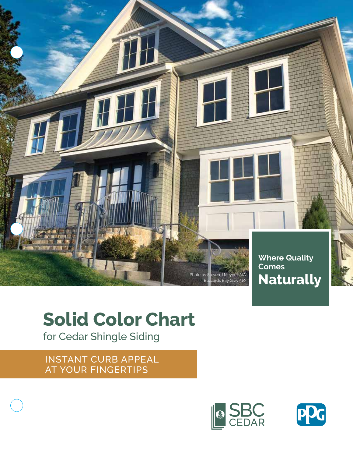

# **Solid Color Chart**

for Cedar Shingle Siding

INSTANT CURB APPEAL AT YOUR FINGERTIPS



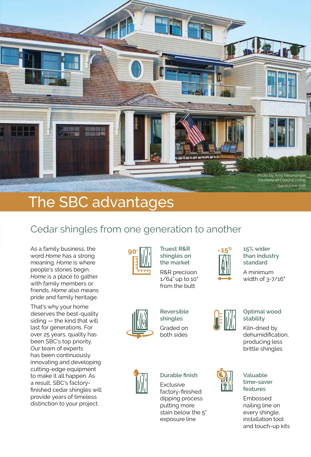

## The SBC advantages

### Cedar shingles from one generation to another

As a family business, the word *Home* has a strong meaning. *Home* is where people's stories begin. *Home* is a place to gather with family members or friends. *Home* also means pride and family heritage.

That's why your home deserves the best-quality siding — the kind that will last for generations. For over 25 years, quality has been SBC's top priority. Our team of experts has been continuously innovating and developing cutting-edge equipment to make it all happen. As a result, SBC's factoryfinished cedar shingles will provide years of timeless distinction to your project.



**Truest R&R shingles on the market** R&R precision 1/64" up to 10"

from the butt



**15% wider than industry standard**

A minimum width of 3-7/16"



**shingles** Graded on both sides

**Reversible** 



#### **Durable finish**

**Exclusive** factory-finished dipping process putting more stain below the 5" exposure line



I 'A' 11

#### **Optimal wood stability**

Kiln-dried by dehumidification, producing less brittle shingles



Embossed nailing line on every shingle, installation tool and touch-up kits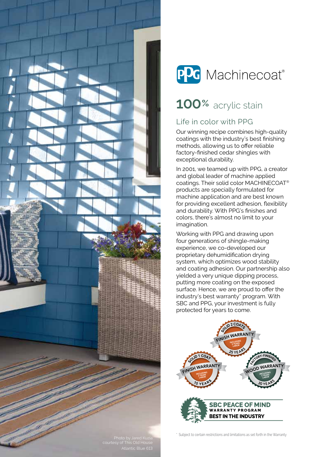



### **100%** acrylic stain

### Life in color with PPG

Our winning recipe combines high-quality coatings with the industry's best finishing methods, allowing us to offer reliable factory-finished cedar shingles with exceptional durability.

In 2001, we teamed up with PPG, a creator and global leader of machine applied coatings. Their solid color MACHINECOAT® products are specially formulated for machine application and are best known for providing excellent adhesion, flexibility and durability. With PPG's finishes and colors, there's almost no limit to your imagination.

Working with PPG and drawing upon four generations of shingle-making experience, we co-developed our proprietary dehumidification drying system, which optimizes wood stability and coating adhesion. Our partnership also yielded a very unique dipping process, putting more coating on the exposed surface. Hence, we are proud to offer the industry's best warranty\* program. With SBC and PPG, your investment is fully protected for years to come.



\* Subject to certain restrictions and limitations as set forth in the Warranty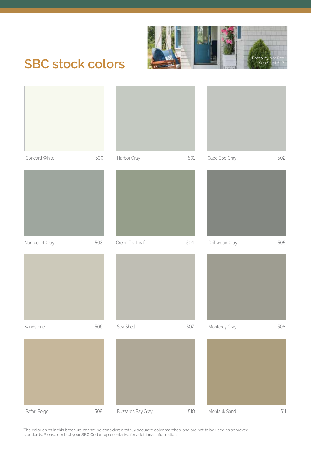

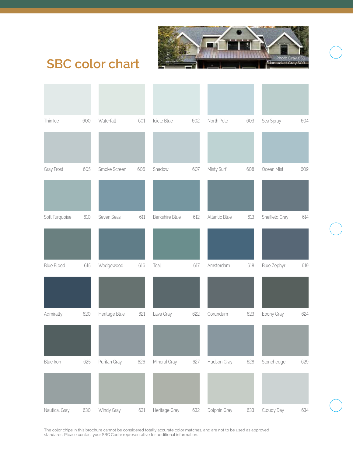

### **SBC color chart**

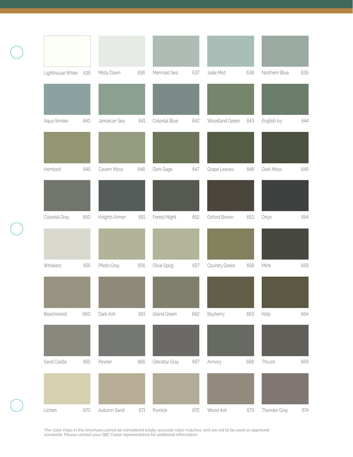| Lighthouse White | 635 | Misty Dawn    | 636 | Mermaid Sea         | 637 | Jade Mist      | 638 | Northern Blue | 639 |
|------------------|-----|---------------|-----|---------------------|-----|----------------|-----|---------------|-----|
|                  |     |               |     |                     |     |                |     |               |     |
| Aqua Smoke       | 640 | Jamaican Sea  | 641 | Colonial Blue       | 642 | Woodland Green | 643 | English Ivy   | 644 |
|                  |     |               |     |                     |     |                |     |               |     |
| Hemlock          | 645 | Cavern Moss   | 646 | Dark Sage           | 647 | Grape Leaves   | 648 | Dark Moss     | 649 |
|                  |     |               |     |                     |     |                |     |               |     |
| Colonial Gray    | 650 | Knights Armor | 651 | Forest Night        | 652 | Oxford Brown   | 653 | Onyx          | 654 |
|                  |     |               |     |                     |     |                |     |               |     |
| Whiskers         | 655 | Photo Gray    | 656 | Olive Sprig         | 657 | Country Green  | 658 | Mink          | 659 |
|                  |     |               |     |                     |     |                |     |               |     |
| Beachwood        | 660 | Dark Ash      | 661 | <b>Island Green</b> | 662 | Bayberry       | 663 | Kelp          | 664 |
|                  |     |               |     |                     |     |                |     |               |     |
| Sand Castle      | 665 | Pewter        | 666 | Gibraltar Gray      | 667 | Armory         | 668 | Thrush        | 669 |
|                  |     |               |     |                     |     |                |     |               |     |
| Lichen           | 670 | Autumn Sand   | 671 | Pumice              | 672 | Wood Ash       | 673 | Thunder Gray  | 674 |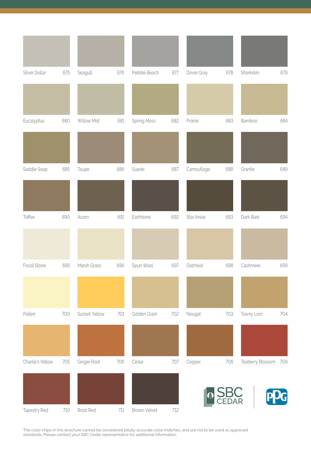| Silver Dollar    | 675 | Seagull          | 676     | Pebble Beach       | 677 | Dover Gray | 678        | Sharkskin            | 679 |
|------------------|-----|------------------|---------|--------------------|-----|------------|------------|----------------------|-----|
|                  |     |                  |         |                    |     |            |            |                      |     |
| Eucalyptus       | 680 | Willow Mist      | 681     | <b>Spring Moss</b> | 682 | Prairie    | 683        | Bamboo               | 684 |
|                  |     |                  |         |                    |     |            |            |                      |     |
| Saddle Soap      | 685 | Taupe            | 686     | Suede              | 687 | Camouflage | 688        | Granite              | 689 |
|                  |     |                  |         |                    |     |            |            |                      |     |
| Toffee           | 690 | Acorn            | 691     | Earthtone          | 692 | Star Anise | 693        | Dark Bark            | 694 |
|                  |     |                  |         |                    |     |            |            |                      |     |
| Fossil Stone     | 695 | Marsh Grass      | 696     | Spun Wool          | 697 | Oatmeal    | 698        | Cashmere             | 699 |
|                  |     |                  |         |                    |     |            |            |                      |     |
| Pollen           | 700 | Sunset Yellow    | 701     | Golden Grain       | 702 | Nougat     | 703        | Tawny Lion           | 704 |
|                  |     |                  |         |                    |     |            |            |                      |     |
| Charlie's Yellow | 705 | Ginger Root      | 706     | Cedar              | 707 | Copper     | 708        | Teaberry Blossom 709 |     |
|                  |     |                  |         |                    |     |            | DAR<br>DAR |                      |     |
| Tapestry Red     | 710 | <b>Brick Red</b> | $711\,$ | Brown Velvet       | 712 |            |            |                      |     |